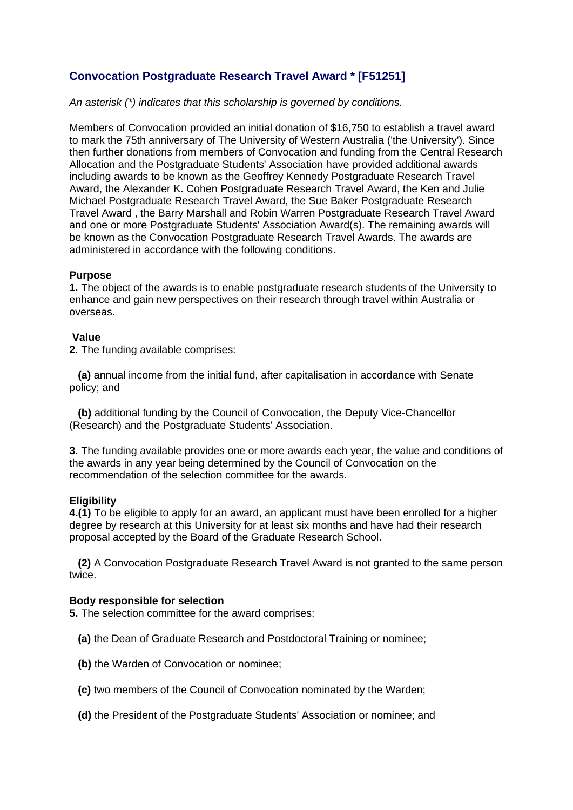# **Convocation Postgraduate Research Travel Award \* [F51251]**

*An asterisk (\*) indicates that this scholarship is governed by conditions.*

Members of Convocation provided an initial donation of \$16,750 to establish a travel award to mark the 75th anniversary of The University of Western Australia ('the University'). Since then further donations from members of Convocation and funding from the Central Research Allocation and the Postgraduate Students' Association have provided additional awards including awards to be known as the Geoffrey Kennedy Postgraduate Research Travel Award, the Alexander K. Cohen Postgraduate Research Travel Award, the Ken and Julie Michael Postgraduate Research Travel Award, the Sue Baker Postgraduate Research Travel Award , the Barry Marshall and Robin Warren Postgraduate Research Travel Award and one or more Postgraduate Students' Association Award(s). The remaining awards will be known as the Convocation Postgraduate Research Travel Awards. The awards are administered in accordance with the following conditions.

# **Purpose**

**1.** The object of the awards is to enable postgraduate research students of the University to enhance and gain new perspectives on their research through travel within Australia or overseas.

# **Value**

**2.** The funding available comprises:

**(a)** annual income from the initial fund, after capitalisation in accordance with Senate policy; and

**(b)** additional funding by the Council of Convocation, the Deputy Vice-Chancellor (Research) and the Postgraduate Students' Association.

**3.** The funding available provides one or more awards each year, the value and conditions of the awards in any year being determined by the Council of Convocation on the recommendation of the selection committee for the awards.

# **Eligibility**

**4.(1)** To be eligible to apply for an award, an applicant must have been enrolled for a higher degree by research at this University for at least six months and have had their research proposal accepted by the Board of the Graduate Research School.

**(2)** A Convocation Postgraduate Research Travel Award is not granted to the same person twice.

# **Body responsible for selection**

**5.** The selection committee for the award comprises:

- **(a)** the Dean of Graduate Research and Postdoctoral Training or nominee;
- **(b)** the Warden of Convocation or nominee;
- **(c)** two members of the Council of Convocation nominated by the Warden;
- **(d)** the President of the Postgraduate Students' Association or nominee; and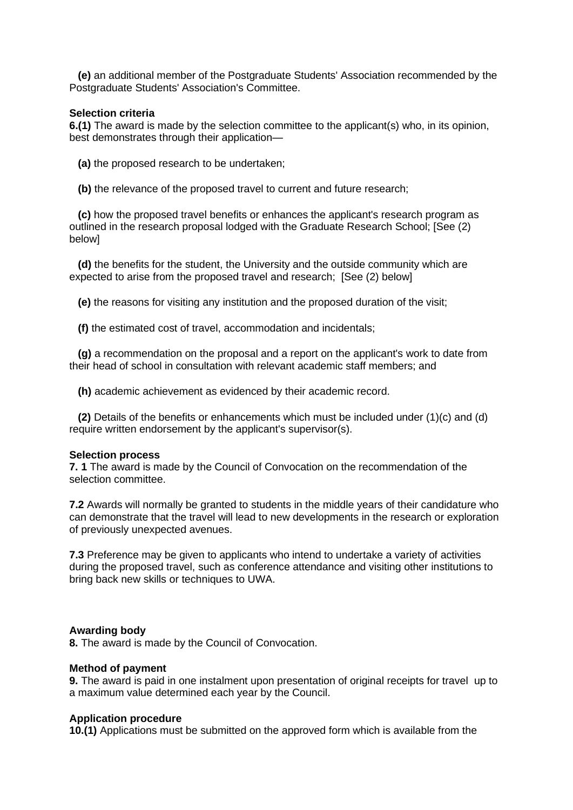**(e)** an additional member of the Postgraduate Students' Association recommended by the Postgraduate Students' Association's Committee.

## **Selection criteria**

**6.(1)** The award is made by the selection committee to the applicant(s) who, in its opinion, best demonstrates through their application—

**(a)** the proposed research to be undertaken;

**(b)** the relevance of the proposed travel to current and future research;

**(c)** how the proposed travel benefits or enhances the applicant's research program as outlined in the research proposal lodged with the Graduate Research School; [See (2) below]

**(d)** the benefits for the student, the University and the outside community which are expected to arise from the proposed travel and research; [See (2) below]

**(e)** the reasons for visiting any institution and the proposed duration of the visit;

**(f)** the estimated cost of travel, accommodation and incidentals;

**(g)** a recommendation on the proposal and a report on the applicant's work to date from their head of school in consultation with relevant academic staff members; and

**(h)** academic achievement as evidenced by their academic record.

**(2)** Details of the benefits or enhancements which must be included under (1)(c) and (d) require written endorsement by the applicant's supervisor(s).

#### **Selection process**

**7. 1** The award is made by the Council of Convocation on the recommendation of the selection committee.

**7.2** Awards will normally be granted to students in the middle years of their candidature who can demonstrate that the travel will lead to new developments in the research or exploration of previously unexpected avenues.

**7.3** Preference may be given to applicants who intend to undertake a variety of activities during the proposed travel, such as conference attendance and visiting other institutions to bring back new skills or techniques to UWA.

## **Awarding body**

**8.** The award is made by the Council of Convocation.

#### **Method of payment**

**9.** The award is paid in one instalment upon presentation of original receipts for travel up to a maximum value determined each year by the Council.

#### **Application procedure**

**10.(1)** Applications must be submitted on the approved form which is available from the